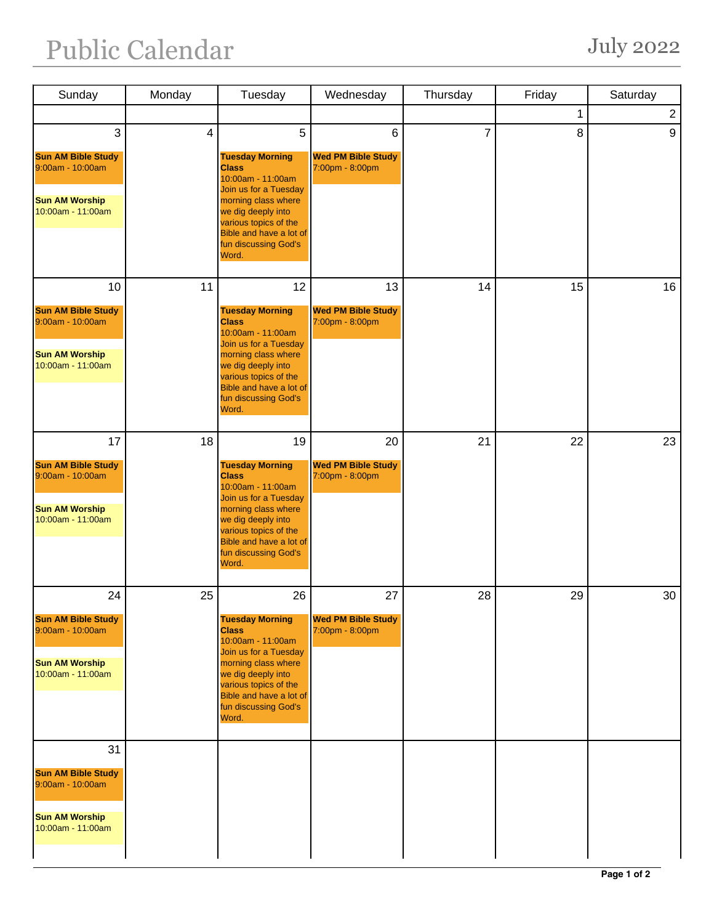## Public Calendar July 2022

| Sunday                                                                                      | Monday         | Tuesday                                                                                                                                                                                                                | Wednesday                                    | Thursday | Friday | Saturday       |
|---------------------------------------------------------------------------------------------|----------------|------------------------------------------------------------------------------------------------------------------------------------------------------------------------------------------------------------------------|----------------------------------------------|----------|--------|----------------|
|                                                                                             |                |                                                                                                                                                                                                                        |                                              |          | 1      | $\overline{2}$ |
| 3                                                                                           | $\overline{4}$ | 5                                                                                                                                                                                                                      | $6\phantom{1}$                               | 7        | 8      | 9              |
| <b>Sun AM Bible Study</b><br>9:00am - 10:00am<br><b>Sun AM Worship</b><br>10:00am - 11:00am |                | <b>Tuesday Morning</b><br><b>Class</b><br>10:00am - 11:00am<br>Join us for a Tuesday<br>morning class where<br>we dig deeply into<br>various topics of the<br>Bible and have a lot of<br>fun discussing God's<br>Word. | <b>Wed PM Bible Study</b><br>7:00pm - 8:00pm |          |        |                |
| 10                                                                                          | 11             | 12                                                                                                                                                                                                                     | 13                                           | 14       | 15     | 16             |
| <b>Sun AM Bible Study</b><br>9:00am - 10:00am<br><b>Sun AM Worship</b><br>10:00am - 11:00am |                | <b>Tuesday Morning</b><br><b>Class</b><br>10:00am - 11:00am<br>Join us for a Tuesday<br>morning class where<br>we dig deeply into<br>various topics of the<br>Bible and have a lot of<br>fun discussing God's<br>Word. | <b>Wed PM Bible Study</b><br>7:00pm - 8:00pm |          |        |                |
| 17                                                                                          | 18             | 19                                                                                                                                                                                                                     | 20                                           | 21       | 22     | 23             |
| <b>Sun AM Bible Study</b><br>9:00am - 10:00am<br><b>Sun AM Worship</b><br>10:00am - 11:00am |                | <b>Tuesday Morning</b><br><b>Class</b><br>10:00am - 11:00am<br>Join us for a Tuesday<br>morning class where<br>we dig deeply into<br>various topics of the<br>Bible and have a lot of<br>fun discussing God's<br>Word. | <b>Wed PM Bible Study</b><br>7:00pm - 8:00pm |          |        |                |
| 24                                                                                          | 25             | 26                                                                                                                                                                                                                     | 27                                           | 28       | 29     | 30             |
| <b>Sun AM Bible Study</b><br>9:00am - 10:00am<br><b>Sun AM Worship</b><br>10:00am - 11:00am |                | <b>Tuesday Morning</b><br><b>Class</b><br>10:00am - 11:00am<br>Join us for a Tuesday<br>morning class where<br>we dig deeply into<br>various topics of the<br>Bible and have a lot of<br>fun discussing God's<br>Word. | <b>Wed PM Bible Study</b><br>7:00pm - 8:00pm |          |        |                |
| 31                                                                                          |                |                                                                                                                                                                                                                        |                                              |          |        |                |
| <b>Sun AM Bible Study</b><br>9:00am - 10:00am                                               |                |                                                                                                                                                                                                                        |                                              |          |        |                |
| <b>Sun AM Worship</b><br>10:00am - 11:00am                                                  |                |                                                                                                                                                                                                                        |                                              |          |        |                |